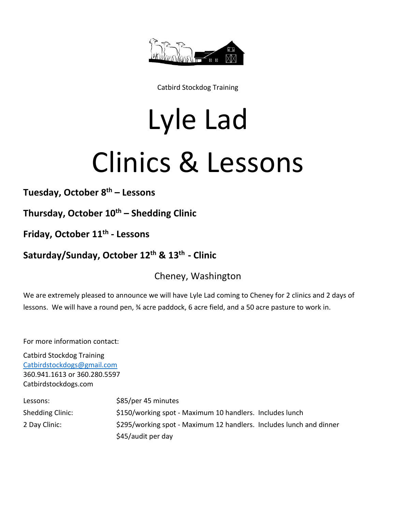

Catbird Stockdog Training

## Lyle Lad Clinics & Lessons

**Tuesday, October 8th – Lessons**

**Thursday, October 10th – Shedding Clinic**

**Friday, October 11 th - Lessons**

## **Saturday/Sunday, October 12 th & 13 th - Clinic**

Cheney, Washington

We are extremely pleased to announce we will have Lyle Lad coming to Cheney for 2 clinics and 2 days of lessons. We will have a round pen, 34 acre paddock, 6 acre field, and a 50 acre pasture to work in.

For more information contact:

Catbird Stockdog Training [Catbirdstockdogs@gmail.com](mailto:Catbirdstockdogs@gmail.com) 360.941.1613 or 360.280.5597 Catbirdstockdogs.com

| Lessons:         | \$85/per 45 minutes                                                 |
|------------------|---------------------------------------------------------------------|
| Shedding Clinic: | \$150/working spot - Maximum 10 handlers. Includes lunch            |
| 2 Day Clinic:    | \$295/working spot - Maximum 12 handlers. Includes lunch and dinner |
|                  | \$45/audit per day                                                  |